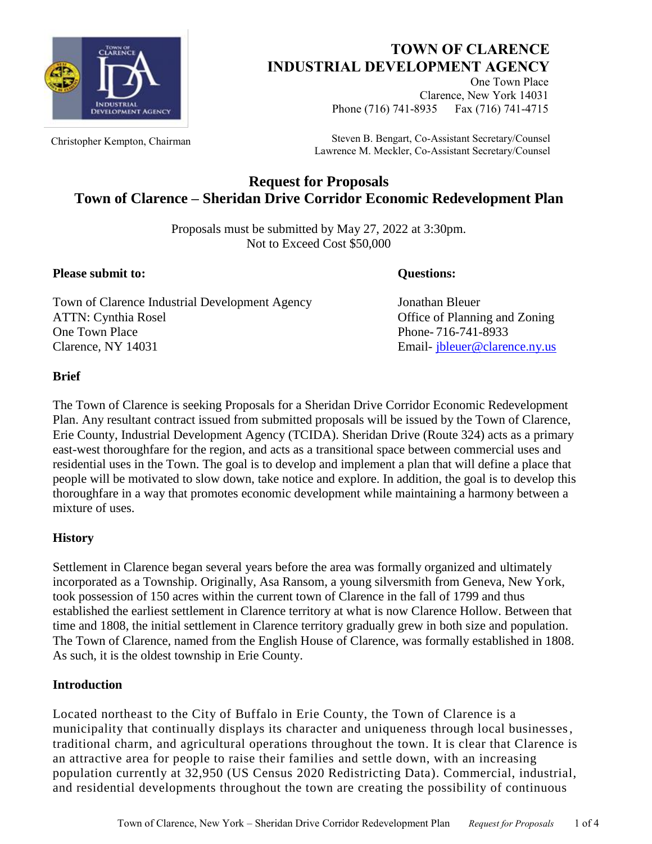

# **TOWN OF CLARENCE INDUSTRIAL DEVELOPMENT AGENCY**

One Town Place Clarence, New York 14031 Phone (716) 741-8935 Fax (716) 741-4715

Christopher Kempton, Chairman Steven B. Bengart, Co-Assistant Secretary/Counsel Lawrence M. Meckler, Co-Assistant Secretary/Counsel

# **Request for Proposals Town of Clarence – Sheridan Drive Corridor Economic Redevelopment Plan**

Proposals must be submitted by May 27, 2022 at 3:30pm. Not to Exceed Cost \$50,000

**Please submit to: Questions: Questions:** 

Town of Clarence Industrial Development Agency Jonathan Bleuer ATTN: Cynthia Rosel **Office of Planning and Zoning** One Town Place Phone- 716-741-8933 Clarence, NY 14031 Email- [jbleuer@clarence.ny.us](mailto:jbleuer@clarence.ny.us)

# **Brief**

The Town of Clarence is seeking Proposals for a Sheridan Drive Corridor Economic Redevelopment Plan. Any resultant contract issued from submitted proposals will be issued by the Town of Clarence, Erie County, Industrial Development Agency (TCIDA). Sheridan Drive (Route 324) acts as a primary east-west thoroughfare for the region, and acts as a transitional space between commercial uses and residential uses in the Town. The goal is to develop and implement a plan that will define a place that people will be motivated to slow down, take notice and explore. In addition, the goal is to develop this thoroughfare in a way that promotes economic development while maintaining a harmony between a mixture of uses.

# **History**

Settlement in Clarence began several years before the area was formally organized and ultimately incorporated as a Township. Originally, Asa Ransom, a young silversmith from Geneva, New York, took possession of 150 acres within the current town of Clarence in the fall of 1799 and thus established the earliest settlement in Clarence territory at what is now Clarence Hollow. Between that time and 1808, the initial settlement in Clarence territory gradually grew in both size and population. The Town of Clarence, named from the English House of Clarence, was formally established in 1808. As such, it is the oldest township in Erie County.

# **Introduction**

Located northeast to the City of Buffalo in Erie County, the Town of Clarence is a municipality that continually displays its character and uniqueness through local businesses, traditional charm, and agricultural operations throughout the town. It is clear that Clarence is an attractive area for people to raise their families and settle down, with an increasing population currently at 32,950 (US Census 2020 Redistricting Data). Commercial, industrial, and residential developments throughout the town are creating the possibility of continuous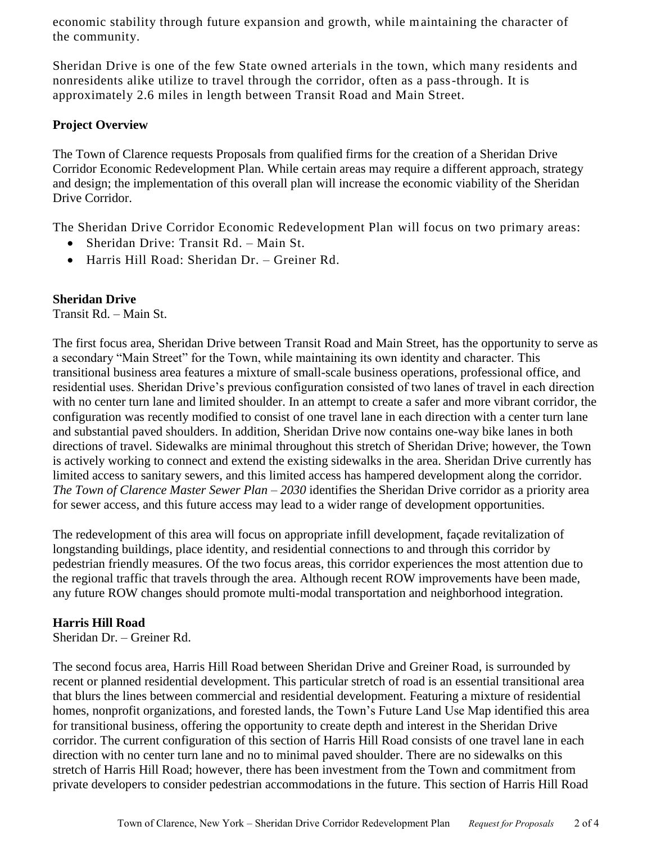economic stability through future expansion and growth, while maintaining the character of the community.

Sheridan Drive is one of the few State owned arterials in the town, which many residents and nonresidents alike utilize to travel through the corridor, often as a pass-through. It is approximately 2.6 miles in length between Transit Road and Main Street.

# **Project Overview**

The Town of Clarence requests Proposals from qualified firms for the creation of a Sheridan Drive Corridor Economic Redevelopment Plan. While certain areas may require a different approach, strategy and design; the implementation of this overall plan will increase the economic viability of the Sheridan Drive Corridor.

The Sheridan Drive Corridor Economic Redevelopment Plan will focus on two primary areas:

- Sheridan Drive: Transit Rd. Main St.
- Harris Hill Road: Sheridan Dr. Greiner Rd.

# **Sheridan Drive**

Transit Rd. – Main St.

The first focus area, Sheridan Drive between Transit Road and Main Street, has the opportunity to serve as a secondary "Main Street" for the Town, while maintaining its own identity and character. This transitional business area features a mixture of small-scale business operations, professional office, and residential uses. Sheridan Drive's previous configuration consisted of two lanes of travel in each direction with no center turn lane and limited shoulder. In an attempt to create a safer and more vibrant corridor, the configuration was recently modified to consist of one travel lane in each direction with a center turn lane and substantial paved shoulders. In addition, Sheridan Drive now contains one-way bike lanes in both directions of travel. Sidewalks are minimal throughout this stretch of Sheridan Drive; however, the Town is actively working to connect and extend the existing sidewalks in the area. Sheridan Drive currently has limited access to sanitary sewers, and this limited access has hampered development along the corridor. *The Town of Clarence Master Sewer Plan – 2030* identifies the Sheridan Drive corridor as a priority area for sewer access, and this future access may lead to a wider range of development opportunities.

The redevelopment of this area will focus on appropriate infill development, façade revitalization of longstanding buildings, place identity, and residential connections to and through this corridor by pedestrian friendly measures. Of the two focus areas, this corridor experiences the most attention due to the regional traffic that travels through the area. Although recent ROW improvements have been made, any future ROW changes should promote multi-modal transportation and neighborhood integration.

#### **Harris Hill Road**

Sheridan Dr. – Greiner Rd.

The second focus area, Harris Hill Road between Sheridan Drive and Greiner Road, is surrounded by recent or planned residential development. This particular stretch of road is an essential transitional area that blurs the lines between commercial and residential development. Featuring a mixture of residential homes, nonprofit organizations, and forested lands, the Town's Future Land Use Map identified this area for transitional business, offering the opportunity to create depth and interest in the Sheridan Drive corridor. The current configuration of this section of Harris Hill Road consists of one travel lane in each direction with no center turn lane and no to minimal paved shoulder. There are no sidewalks on this stretch of Harris Hill Road; however, there has been investment from the Town and commitment from private developers to consider pedestrian accommodations in the future. This section of Harris Hill Road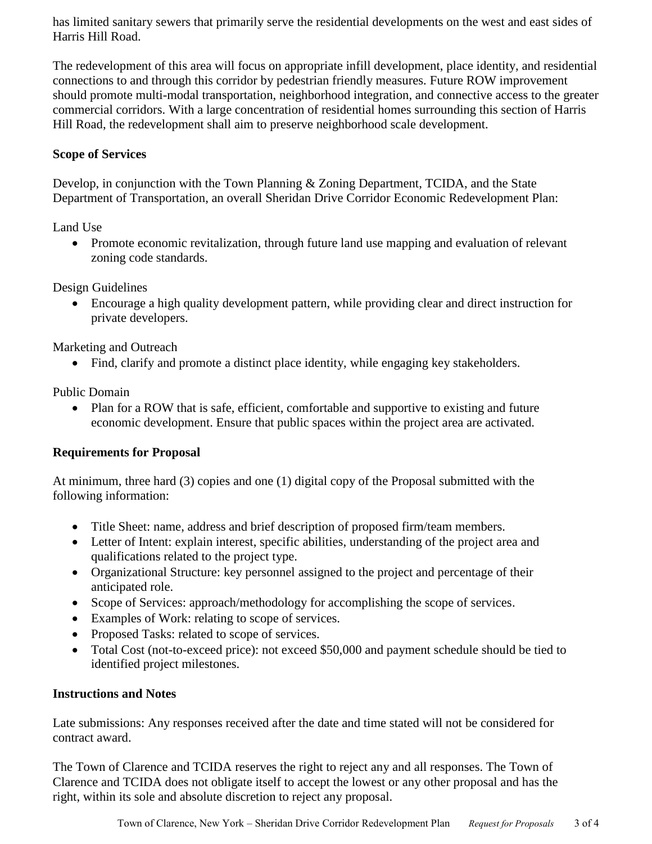has limited sanitary sewers that primarily serve the residential developments on the west and east sides of Harris Hill Road.

The redevelopment of this area will focus on appropriate infill development, place identity, and residential connections to and through this corridor by pedestrian friendly measures. Future ROW improvement should promote multi-modal transportation, neighborhood integration, and connective access to the greater commercial corridors. With a large concentration of residential homes surrounding this section of Harris Hill Road, the redevelopment shall aim to preserve neighborhood scale development.

# **Scope of Services**

Develop, in conjunction with the Town Planning & Zoning Department, TCIDA, and the State Department of Transportation, an overall Sheridan Drive Corridor Economic Redevelopment Plan:

Land Use

• Promote economic revitalization, through future land use mapping and evaluation of relevant zoning code standards.

Design Guidelines

 Encourage a high quality development pattern, while providing clear and direct instruction for private developers.

Marketing and Outreach

• Find, clarify and promote a distinct place identity, while engaging key stakeholders.

Public Domain

• Plan for a ROW that is safe, efficient, comfortable and supportive to existing and future economic development. Ensure that public spaces within the project area are activated.

# **Requirements for Proposal**

At minimum, three hard (3) copies and one (1) digital copy of the Proposal submitted with the following information:

- Title Sheet: name, address and brief description of proposed firm/team members.
- Letter of Intent: explain interest, specific abilities, understanding of the project area and qualifications related to the project type.
- Organizational Structure: key personnel assigned to the project and percentage of their anticipated role.
- Scope of Services: approach/methodology for accomplishing the scope of services.
- Examples of Work: relating to scope of services.
- Proposed Tasks: related to scope of services.
- Total Cost (not-to-exceed price): not exceed \$50,000 and payment schedule should be tied to identified project milestones.

#### **Instructions and Notes**

Late submissions: Any responses received after the date and time stated will not be considered for contract award.

The Town of Clarence and TCIDA reserves the right to reject any and all responses. The Town of Clarence and TCIDA does not obligate itself to accept the lowest or any other proposal and has the right, within its sole and absolute discretion to reject any proposal.